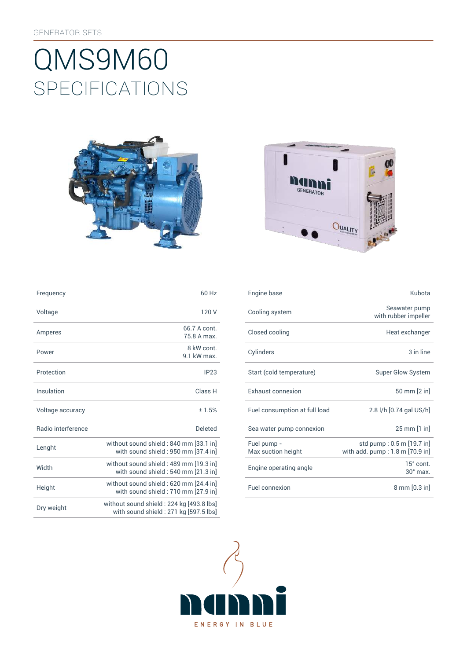# SpEcificATiONS QMS9M60





| Frequency                 | 60 Hz                                                                             |
|---------------------------|-----------------------------------------------------------------------------------|
| Voltage                   | 120V                                                                              |
| Amperes                   | 66.7 A cont<br>75.8 A max.                                                        |
| Power                     | 8 kW cont.<br>9 1 kW max                                                          |
| Protection                | IP23                                                                              |
| Insulation                | Class H                                                                           |
| Voltage accuracy          | ±1.5%                                                                             |
| <b>Badio</b> interference | Deleted                                                                           |
| Lenght                    | without sound shield: 840 mm [33.1 in]<br>with sound shield : 950 mm [37.4 in]    |
| Width                     | without sound shield : 489 mm [19.3 in]<br>with sound shield: 540 mm [21.3 in]    |
| Height                    | without sound shield: 620 mm [24.4 in]<br>with sound shield: 710 mm [27.9 in]     |
| Dry weight                | without sound shield: 224 kg [493.8 lbs]<br>with sound shield: 271 kg [597.5 lbs] |

| Frequency          | 60 Hz                                                                         | Engine base                       | Kubota                                                         |
|--------------------|-------------------------------------------------------------------------------|-----------------------------------|----------------------------------------------------------------|
| Voltage            | 120 V                                                                         | Cooling system                    | Seawater pump<br>with rubber impeller                          |
| Amperes            | 66.7 A cont.<br>75.8 A max.                                                   | Closed cooling                    | Heat exchanger                                                 |
| Power              | 8 kW cont.<br>9.1 kW max.                                                     | Cylinders                         | 3 in line                                                      |
| Protection         | IP23                                                                          | Start (cold temperature)          | <b>Super Glow System</b>                                       |
| Insulation         | Class H                                                                       | Exhaust connexion                 | 50 mm [2 in]                                                   |
| Voltage accuracy   | ± 1.5%                                                                        | Fuel consumption at full load     | 2.8 l/h [0.74 gal US/h]                                        |
| Radio interference | <b>Deleted</b>                                                                | Sea water pump connexion          | 25 mm [1 in]                                                   |
| Lenght             | without sound shield: 840 mm [33.1 in]<br>with sound shield: 950 mm [37.4 in] | Fuel pump -<br>Max suction height | std pump: 0.5 m [19.7 in]<br>with add. $pump: 1.8 m [70.9 in]$ |
| Width              | without sound shield: 489 mm [19.3 in]<br>with sound shield: 540 mm [21.3 in] | Engine operating angle            | $15^\circ$ cont.<br>$30^\circ$ max.                            |
| Height             | without sound shield: 620 mm [24.4 in]<br>with sound shield: 710 mm [27.9 in] | Fuel connexion                    | $8 \text{ mm} [0.3 \text{ in}]$                                |